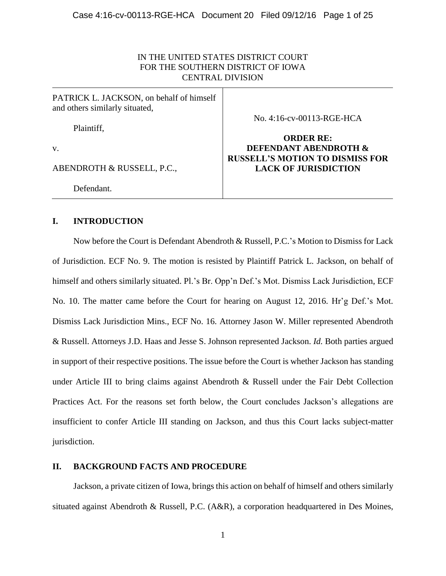# IN THE UNITED STATES DISTRICT COURT FOR THE SOUTHERN DISTRICT OF IOWA CENTRAL DIVISION

| PATRICK L. JACKSON, on behalf of himself<br>and others similarly situated, |                                                                       |
|----------------------------------------------------------------------------|-----------------------------------------------------------------------|
| Plaintiff,                                                                 | No. 4:16-cv-00113-RGE-HCA                                             |
| v.                                                                         | <b>ORDER RE:</b><br>DEFENDANT ABENDROTH &                             |
| ABENDROTH & RUSSELL, P.C.,                                                 | <b>RUSSELL'S MOTION TO DISMISS FOR</b><br><b>LACK OF JURISDICTION</b> |
| Defendant.                                                                 |                                                                       |

# **I. INTRODUCTION**

Now before the Court is Defendant Abendroth & Russell, P.C.'s Motion to Dismiss for Lack of Jurisdiction. ECF No. 9. The motion is resisted by Plaintiff Patrick L. Jackson, on behalf of himself and others similarly situated. Pl.'s Br. Opp'n Def.'s Mot. Dismiss Lack Jurisdiction, ECF No. 10. The matter came before the Court for hearing on August 12, 2016. Hr'g Def.'s Mot. Dismiss Lack Jurisdiction Mins., ECF No. 16. Attorney Jason W. Miller represented Abendroth & Russell. Attorneys J.D. Haas and Jesse S. Johnson represented Jackson. *Id.* Both parties argued in support of their respective positions. The issue before the Court is whether Jackson has standing under Article III to bring claims against Abendroth & Russell under the Fair Debt Collection Practices Act. For the reasons set forth below, the Court concludes Jackson's allegations are insufficient to confer Article III standing on Jackson, and thus this Court lacks subject-matter jurisdiction.

# **II. BACKGROUND FACTS AND PROCEDURE**

Jackson, a private citizen of Iowa, brings this action on behalf of himself and others similarly situated against Abendroth & Russell, P.C. (A&R), a corporation headquartered in Des Moines,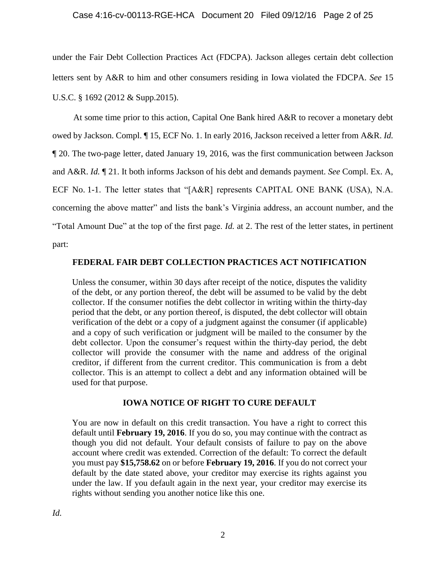# Case 4:16-cv-00113-RGE-HCA Document 20 Filed 09/12/16 Page 2 of 25

under the Fair Debt Collection Practices Act (FDCPA). Jackson alleges certain debt collection letters sent by A&R to him and other consumers residing in Iowa violated the FDCPA. *See* 15 U.S.C. § 1692 (2012 & Supp.2015).

At some time prior to this action, Capital One Bank hired A&R to recover a monetary debt owed by Jackson. Compl. ¶ 15, ECF No. 1. In early 2016, Jackson received a letter from A&R. *Id.* ¶ 20. The two-page letter, dated January 19, 2016, was the first communication between Jackson and A&R. *Id.* ¶ 21. It both informs Jackson of his debt and demands payment. *See* Compl. Ex. A, ECF No. 1-1. The letter states that "[A&R] represents CAPITAL ONE BANK (USA), N.A. concerning the above matter" and lists the bank's Virginia address, an account number, and the "Total Amount Due" at the top of the first page. *Id.* at 2. The rest of the letter states, in pertinent part:

## **FEDERAL FAIR DEBT COLLECTION PRACTICES ACT NOTIFICATION**

Unless the consumer, within 30 days after receipt of the notice, disputes the validity of the debt, or any portion thereof, the debt will be assumed to be valid by the debt collector. If the consumer notifies the debt collector in writing within the thirty-day period that the debt, or any portion thereof, is disputed, the debt collector will obtain verification of the debt or a copy of a judgment against the consumer (if applicable) and a copy of such verification or judgment will be mailed to the consumer by the debt collector. Upon the consumer's request within the thirty-day period, the debt collector will provide the consumer with the name and address of the original creditor, if different from the current creditor. This communication is from a debt collector. This is an attempt to collect a debt and any information obtained will be used for that purpose.

### **IOWA NOTICE OF RIGHT TO CURE DEFAULT**

You are now in default on this credit transaction. You have a right to correct this default until **February 19, 2016**. If you do so, you may continue with the contract as though you did not default. Your default consists of failure to pay on the above account where credit was extended. Correction of the default: To correct the default you must pay **\$15,758.62** on or before **February 19, 2016**. If you do not correct your default by the date stated above, your creditor may exercise its rights against you under the law. If you default again in the next year, your creditor may exercise its rights without sending you another notice like this one.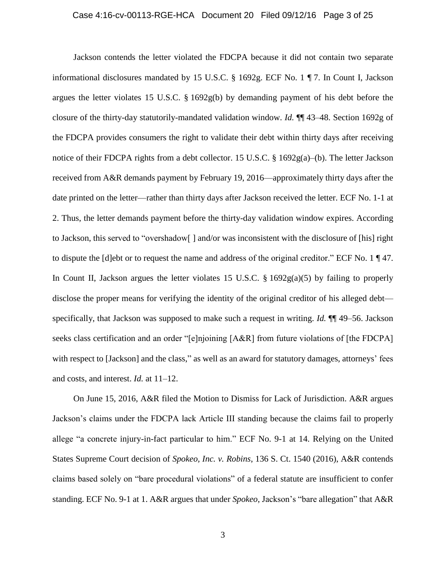#### Case 4:16-cv-00113-RGE-HCA Document 20 Filed 09/12/16 Page 3 of 25

Jackson contends the letter violated the FDCPA because it did not contain two separate informational disclosures mandated by 15 U.S.C. § 1692g. ECF No. 1 ¶ 7. In Count I, Jackson argues the letter violates 15 U.S.C. § 1692g(b) by demanding payment of his debt before the closure of the thirty-day statutorily-mandated validation window. *Id.* ¶¶ 43–48. Section 1692g of the FDCPA provides consumers the right to validate their debt within thirty days after receiving notice of their FDCPA rights from a debt collector. 15 U.S.C. § 1692g(a)–(b). The letter Jackson received from A&R demands payment by February 19, 2016—approximately thirty days after the date printed on the letter—rather than thirty days after Jackson received the letter. ECF No. 1-1 at 2. Thus, the letter demands payment before the thirty-day validation window expires. According to Jackson, this served to "overshadow[ ] and/or was inconsistent with the disclosure of [his] right to dispute the [d]ebt or to request the name and address of the original creditor." ECF No. 1 ¶ 47. In Count II, Jackson argues the letter violates 15 U.S.C.  $\S$  1692g(a)(5) by failing to properly disclose the proper means for verifying the identity of the original creditor of his alleged debt specifically, that Jackson was supposed to make such a request in writing. *Id.* ¶¶ 49–56. Jackson seeks class certification and an order "[e]njoining [A&R] from future violations of [the FDCPA] with respect to [Jackson] and the class," as well as an award for statutory damages, attorneys' fees and costs, and interest. *Id.* at 11–12.

On June 15, 2016, A&R filed the Motion to Dismiss for Lack of Jurisdiction. A&R argues Jackson's claims under the FDCPA lack Article III standing because the claims fail to properly allege "a concrete injury-in-fact particular to him." ECF No. 9-1 at 14. Relying on the United States Supreme Court decision of *Spokeo, Inc. v. Robins*, 136 S. Ct. 1540 (2016), A&R contends claims based solely on "bare procedural violations" of a federal statute are insufficient to confer standing. ECF No. 9-1 at 1. A&R argues that under *Spokeo*, Jackson's "bare allegation" that A&R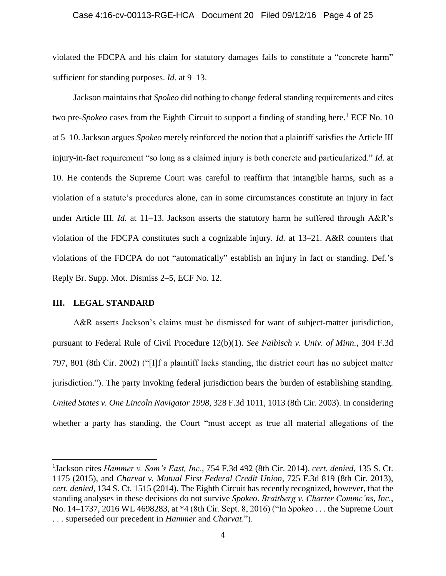#### Case 4:16-cv-00113-RGE-HCA Document 20 Filed 09/12/16 Page 4 of 25

violated the FDCPA and his claim for statutory damages fails to constitute a "concrete harm" sufficient for standing purposes. *Id.* at 9–13.

Jackson maintains that *Spokeo* did nothing to change federal standing requirements and cites two pre-*Spokeo* cases from the Eighth Circuit to support a finding of standing here. <sup>1</sup> ECF No. 10 at 5–10. Jackson argues *Spokeo* merely reinforced the notion that a plaintiff satisfies the Article III injury-in-fact requirement "so long as a claimed injury is both concrete and particularized." *Id.* at 10. He contends the Supreme Court was careful to reaffirm that intangible harms, such as a violation of a statute's procedures alone, can in some circumstances constitute an injury in fact under Article III. *Id.* at 11–13. Jackson asserts the statutory harm he suffered through A&R's violation of the FDCPA constitutes such a cognizable injury. *Id.* at 13–21. A&R counters that violations of the FDCPA do not "automatically" establish an injury in fact or standing. Def.'s Reply Br. Supp. Mot. Dismiss 2–5, ECF No. 12.

## **III. LEGAL STANDARD**

 $\overline{a}$ 

A&R asserts Jackson's claims must be dismissed for want of subject-matter jurisdiction, pursuant to Federal Rule of Civil Procedure 12(b)(1). *See Faibisch v. Univ. of Minn.*, 304 F.3d 797, 801 (8th Cir. 2002) ("[I]f a plaintiff lacks standing, the district court has no subject matter jurisdiction."). The party invoking federal jurisdiction bears the burden of establishing standing. *United States v. One Lincoln Navigator 1998*, 328 F.3d 1011, 1013 (8th Cir. 2003). In considering whether a party has standing, the Court "must accept as true all material allegations of the

<sup>1</sup> Jackson cites *Hammer v. Sam's East, Inc.*, 754 F.3d 492 (8th Cir. 2014), *cert. denied*, 135 S. Ct. 1175 (2015), and *Charvat v. Mutual First Federal Credit Union*, 725 F.3d 819 (8th Cir. 2013), *cert. denied*, 134 S. Ct. 1515 (2014). The Eighth Circuit has recently recognized, however, that the standing analyses in these decisions do not survive *Spokeo*. *Braitberg v. Charter Commc'ns, Inc.*, No. 14–1737, 2016 WL 4698283, at \*4 (8th Cir. Sept. 8, 2016) ("In *Spokeo* . . . the Supreme Court . . . superseded our precedent in *Hammer* and *Charvat*.").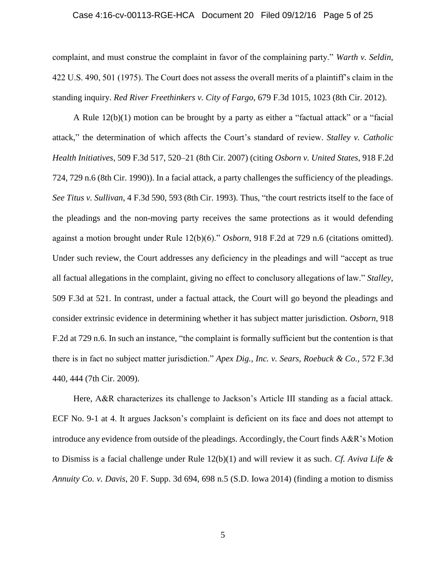#### Case 4:16-cv-00113-RGE-HCA Document 20 Filed 09/12/16 Page 5 of 25

complaint, and must construe the complaint in favor of the complaining party." *Warth v. Seldin*, 422 U.S. 490, 501 (1975). The Court does not assess the overall merits of a plaintiff's claim in the standing inquiry. *Red River Freethinkers v. City of Fargo*, 679 F.3d 1015, 1023 (8th Cir. 2012).

A Rule 12(b)(1) motion can be brought by a party as either a "factual attack" or a "facial attack," the determination of which affects the Court's standard of review. *Stalley v. Catholic Health Initiatives*, 509 F.3d 517, 520–21 (8th Cir. 2007) (citing *Osborn v. United States*, 918 F.2d 724, 729 n.6 (8th Cir. 1990)). In a facial attack, a party challenges the sufficiency of the pleadings. *See Titus v. Sullivan*, 4 F.3d 590, 593 (8th Cir. 1993). Thus, "the court restricts itself to the face of the pleadings and the non-moving party receives the same protections as it would defending against a motion brought under Rule 12(b)(6)." *Osborn*, 918 F.2d at 729 n.6 (citations omitted). Under such review, the Court addresses any deficiency in the pleadings and will "accept as true all factual allegations in the complaint, giving no effect to conclusory allegations of law." *Stalley*, 509 F.3d at 521. In contrast, under a factual attack, the Court will go beyond the pleadings and consider extrinsic evidence in determining whether it has subject matter jurisdiction. *Osborn*, 918 F.2d at 729 n.6. In such an instance, "the complaint is formally sufficient but the contention is that there is in fact no subject matter jurisdiction." *Apex Dig., Inc. v. Sears, Roebuck & Co.*, 572 F.3d 440, 444 (7th Cir. 2009).

Here, A&R characterizes its challenge to Jackson's Article III standing as a facial attack. ECF No. 9-1 at 4. It argues Jackson's complaint is deficient on its face and does not attempt to introduce any evidence from outside of the pleadings. Accordingly, the Court finds A&R's Motion to Dismiss is a facial challenge under Rule 12(b)(1) and will review it as such. *Cf. Aviva Life & Annuity Co. v. Davis*, 20 F. Supp. 3d 694, 698 n.5 (S.D. Iowa 2014) (finding a motion to dismiss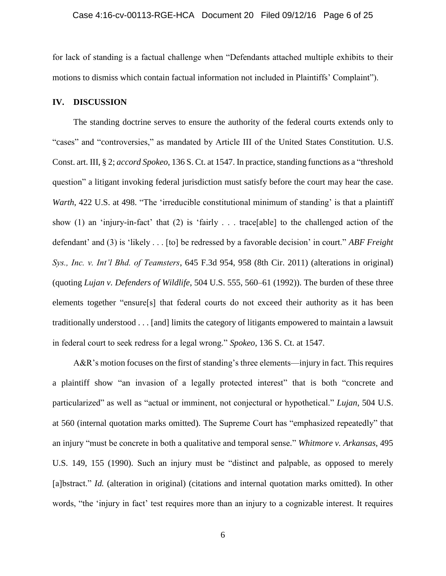for lack of standing is a factual challenge when "Defendants attached multiple exhibits to their motions to dismiss which contain factual information not included in Plaintiffs' Complaint").

# **IV. DISCUSSION**

The standing doctrine serves to ensure the authority of the federal courts extends only to "cases" and "controversies," as mandated by Article III of the United States Constitution. U.S. Const. art. III, § 2; *accord Spokeo*, 136 S. Ct. at 1547. In practice, standing functions as a "threshold" question" a litigant invoking federal jurisdiction must satisfy before the court may hear the case. *Warth*, 422 U.S. at 498. "The 'irreducible constitutional minimum of standing' is that a plaintiff show (1) an 'injury-in-fact' that (2) is 'fairly . . . trace[able] to the challenged action of the defendant' and (3) is 'likely . . . [to] be redressed by a favorable decision' in court." *ABF Freight Sys., Inc. v. Int'l Bhd. of Teamsters*, 645 F.3d 954, 958 (8th Cir. 2011) (alterations in original) (quoting *Lujan v. Defenders of Wildlife*, 504 U.S. 555, 560–61 (1992)). The burden of these three elements together "ensure[s] that federal courts do not exceed their authority as it has been traditionally understood . . . [and] limits the category of litigants empowered to maintain a lawsuit in federal court to seek redress for a legal wrong." *Spokeo*, 136 S. Ct. at 1547.

A&R's motion focuses on the first of standing's three elements—injury in fact. This requires a plaintiff show "an invasion of a legally protected interest" that is both "concrete and particularized" as well as "actual or imminent, not conjectural or hypothetical." *Lujan*, 504 U.S. at 560 (internal quotation marks omitted). The Supreme Court has "emphasized repeatedly" that an injury "must be concrete in both a qualitative and temporal sense." *Whitmore v. Arkansas*, 495 U.S. 149, 155 (1990). Such an injury must be "distinct and palpable, as opposed to merely [a]bstract." *Id.* (alteration in original) (citations and internal quotation marks omitted). In other words, "the 'injury in fact' test requires more than an injury to a cognizable interest. It requires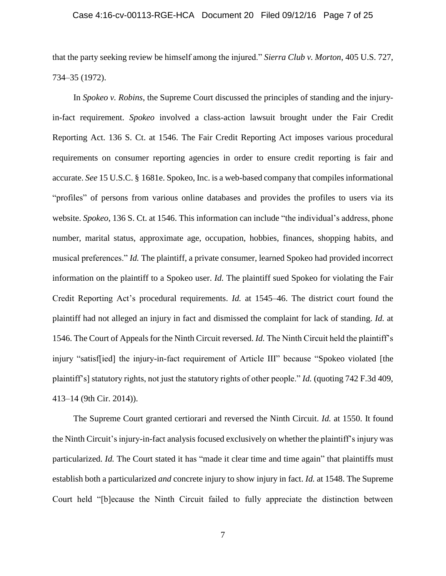# Case 4:16-cv-00113-RGE-HCA Document 20 Filed 09/12/16 Page 7 of 25

that the party seeking review be himself among the injured." *Sierra Club v. Morton*, 405 U.S. 727, 734–35 (1972).

In *Spokeo v. Robins*, the Supreme Court discussed the principles of standing and the injuryin-fact requirement. *Spokeo* involved a class-action lawsuit brought under the Fair Credit Reporting Act. 136 S. Ct. at 1546. The Fair Credit Reporting Act imposes various procedural requirements on consumer reporting agencies in order to ensure credit reporting is fair and accurate. *See* 15 U.S.C. § 1681e. Spokeo, Inc. is a web-based company that compilesinformational "profiles" of persons from various online databases and provides the profiles to users via its website. *Spokeo*, 136 S. Ct. at 1546. This information can include "the individual's address, phone number, marital status, approximate age, occupation, hobbies, finances, shopping habits, and musical preferences." *Id.* The plaintiff, a private consumer, learned Spokeo had provided incorrect information on the plaintiff to a Spokeo user. *Id.* The plaintiff sued Spokeo for violating the Fair Credit Reporting Act's procedural requirements. *Id.* at 1545–46. The district court found the plaintiff had not alleged an injury in fact and dismissed the complaint for lack of standing. *Id.* at 1546. The Court of Appeals for the Ninth Circuit reversed. *Id.* The Ninth Circuit held the plaintiff's injury "satisf[ied] the injury-in-fact requirement of Article III" because "Spokeo violated [the plaintiff's] statutory rights, not just the statutory rights of other people." *Id.* (quoting 742 F.3d 409, 413–14 (9th Cir. 2014)).

The Supreme Court granted certiorari and reversed the Ninth Circuit. *Id.* at 1550. It found the Ninth Circuit's injury-in-fact analysis focused exclusively on whether the plaintiff's injury was particularized. *Id.* The Court stated it has "made it clear time and time again" that plaintiffs must establish both a particularized *and* concrete injury to show injury in fact. *Id.* at 1548. The Supreme Court held "[b]ecause the Ninth Circuit failed to fully appreciate the distinction between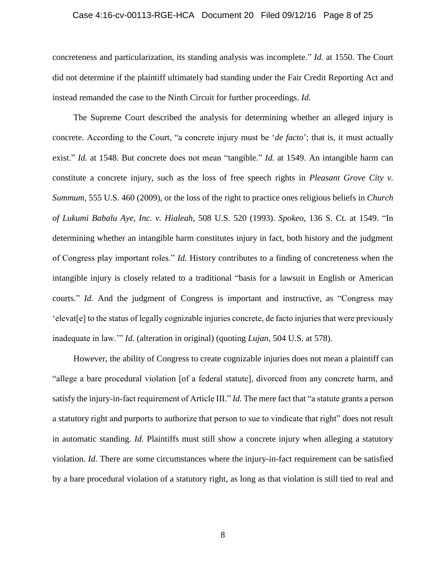#### Case 4:16-cv-00113-RGE-HCA Document 20 Filed 09/12/16 Page 8 of 25

concreteness and particularization, its standing analysis was incomplete." *Id.* at 1550. The Court did not determine if the plaintiff ultimately had standing under the Fair Credit Reporting Act and instead remanded the case to the Ninth Circuit for further proceedings. *Id.*

The Supreme Court described the analysis for determining whether an alleged injury is concrete. According to the Court, "a concrete injury must be '*de facto*'; that is, it must actually exist." *Id.* at 1548. But concrete does not mean "tangible." *Id.* at 1549. An intangible harm can constitute a concrete injury, such as the loss of free speech rights in *Pleasant Grove City v. Summum*, 555 U.S. 460 (2009), or the loss of the right to practice ones religious beliefs in *Church of Lukumi Babalu Aye, Inc. v. Hialeah*, 508 U.S. 520 (1993). *Spokeo*, 136 S. Ct. at 1549. "In determining whether an intangible harm constitutes injury in fact, both history and the judgment of Congress play important roles." *Id.* History contributes to a finding of concreteness when the intangible injury is closely related to a traditional "basis for a lawsuit in English or American courts." *Id.* And the judgment of Congress is important and instructive, as "Congress may 'elevat[e] to the status of legally cognizable injuries concrete, de facto injuries that were previously inadequate in law.'" *Id.* (alteration in original) (quoting *Lujan*, 504 U.S. at 578).

However, the ability of Congress to create cognizable injuries does not mean a plaintiff can "allege a bare procedural violation [of a federal statute], divorced from any concrete harm, and satisfy the injury-in-fact requirement of Article III." *Id.* The mere fact that "a statute grants a person a statutory right and purports to authorize that person to sue to vindicate that right" does not result in automatic standing. *Id.* Plaintiffs must still show a concrete injury when alleging a statutory violation. *Id.* There are some circumstances where the injury-in-fact requirement can be satisfied by a bare procedural violation of a statutory right, as long as that violation is still tied to real and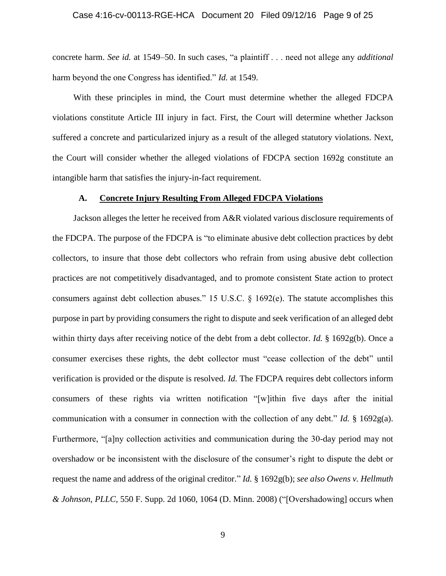#### Case 4:16-cv-00113-RGE-HCA Document 20 Filed 09/12/16 Page 9 of 25

concrete harm. *See id.* at 1549–50. In such cases, "a plaintiff . . . need not allege any *additional* harm beyond the one Congress has identified." *Id.* at 1549.

With these principles in mind, the Court must determine whether the alleged FDCPA violations constitute Article III injury in fact. First, the Court will determine whether Jackson suffered a concrete and particularized injury as a result of the alleged statutory violations. Next, the Court will consider whether the alleged violations of FDCPA section 1692g constitute an intangible harm that satisfies the injury-in-fact requirement.

### **A. Concrete Injury Resulting From Alleged FDCPA Violations**

Jackson alleges the letter he received from A&R violated various disclosure requirements of the FDCPA. The purpose of the FDCPA is "to eliminate abusive debt collection practices by debt collectors, to insure that those debt collectors who refrain from using abusive debt collection practices are not competitively disadvantaged, and to promote consistent State action to protect consumers against debt collection abuses." 15 U.S.C. § 1692(e). The statute accomplishes this purpose in part by providing consumers the right to dispute and seek verification of an alleged debt within thirty days after receiving notice of the debt from a debt collector. *Id.* § 1692g(b). Once a consumer exercises these rights, the debt collector must "cease collection of the debt" until verification is provided or the dispute is resolved. *Id.* The FDCPA requires debt collectors inform consumers of these rights via written notification "[w]ithin five days after the initial communication with a consumer in connection with the collection of any debt." *Id.* § 1692g(a). Furthermore, "[a]ny collection activities and communication during the 30-day period may not overshadow or be inconsistent with the disclosure of the consumer's right to dispute the debt or request the name and address of the original creditor." *Id.* § 1692g(b); *see also Owens v. Hellmuth & Johnson, PLLC*, 550 F. Supp. 2d 1060, 1064 (D. Minn. 2008) ("[Overshadowing] occurs when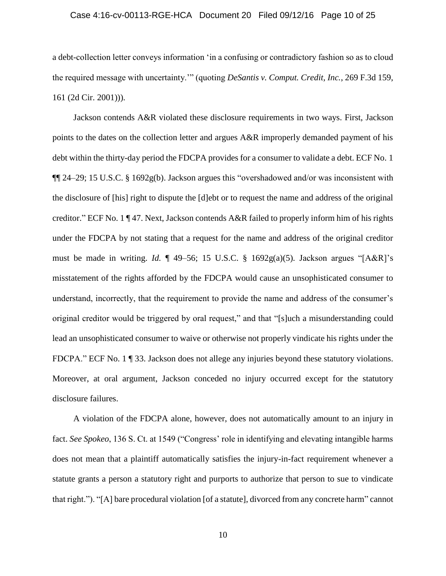# Case 4:16-cv-00113-RGE-HCA Document 20 Filed 09/12/16 Page 10 of 25

a debt-collection letter conveys information 'in a confusing or contradictory fashion so as to cloud the required message with uncertainty.'" (quoting *DeSantis v. Comput. Credit, Inc.*, 269 F.3d 159, 161 (2d Cir. 2001))).

Jackson contends A&R violated these disclosure requirements in two ways. First, Jackson points to the dates on the collection letter and argues A&R improperly demanded payment of his debt within the thirty-day period the FDCPA provides for a consumer to validate a debt. ECF No. 1 ¶¶ 24–29; 15 U.S.C. § 1692g(b). Jackson argues this "overshadowed and/or was inconsistent with the disclosure of [his] right to dispute the [d]ebt or to request the name and address of the original creditor." ECF No. 1 ¶ 47. Next, Jackson contends A&R failed to properly inform him of his rights under the FDCPA by not stating that a request for the name and address of the original creditor must be made in writing. *Id.* ¶ 49–56; 15 U.S.C. § 1692g(a)(5). Jackson argues "[A&R]'s misstatement of the rights afforded by the FDCPA would cause an unsophisticated consumer to understand, incorrectly, that the requirement to provide the name and address of the consumer's original creditor would be triggered by oral request," and that "[s]uch a misunderstanding could lead an unsophisticated consumer to waive or otherwise not properly vindicate his rights under the FDCPA." ECF No. 1 ¶ 33. Jackson does not allege any injuries beyond these statutory violations. Moreover, at oral argument, Jackson conceded no injury occurred except for the statutory disclosure failures.

A violation of the FDCPA alone, however, does not automatically amount to an injury in fact. *See Spokeo*, 136 S. Ct. at 1549 ("Congress' role in identifying and elevating intangible harms does not mean that a plaintiff automatically satisfies the injury-in-fact requirement whenever a statute grants a person a statutory right and purports to authorize that person to sue to vindicate that right."). "[A] bare procedural violation [of a statute], divorced from any concrete harm" cannot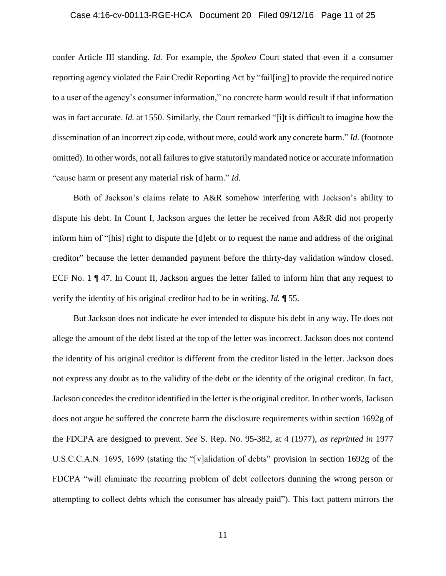# Case 4:16-cv-00113-RGE-HCA Document 20 Filed 09/12/16 Page 11 of 25

confer Article III standing. *Id.* For example, the *Spokeo* Court stated that even if a consumer reporting agency violated the Fair Credit Reporting Act by "fail[ing] to provide the required notice to a user of the agency's consumer information," no concrete harm would result if that information was in fact accurate. *Id.* at 1550. Similarly, the Court remarked "[i]t is difficult to imagine how the dissemination of an incorrect zip code, without more, could work any concrete harm." *Id.* (footnote omitted). In other words, not all failures to give statutorily mandated notice or accurate information "cause harm or present any material risk of harm." *Id.*

Both of Jackson's claims relate to A&R somehow interfering with Jackson's ability to dispute his debt. In Count I, Jackson argues the letter he received from A&R did not properly inform him of "[his] right to dispute the [d]ebt or to request the name and address of the original creditor" because the letter demanded payment before the thirty-day validation window closed. ECF No. 1 ¶ 47. In Count II, Jackson argues the letter failed to inform him that any request to verify the identity of his original creditor had to be in writing. *Id.* ¶ 55.

But Jackson does not indicate he ever intended to dispute his debt in any way. He does not allege the amount of the debt listed at the top of the letter was incorrect. Jackson does not contend the identity of his original creditor is different from the creditor listed in the letter. Jackson does not express any doubt as to the validity of the debt or the identity of the original creditor. In fact, Jackson concedes the creditor identified in the letter is the original creditor. In other words, Jackson does not argue he suffered the concrete harm the disclosure requirements within section 1692g of the FDCPA are designed to prevent. *See* S. Rep. No. 95-382, at 4 (1977), *as reprinted in* 1977 U.S.C.C.A.N. 1695, 1699 (stating the "[v]alidation of debts" provision in section 1692g of the FDCPA "will eliminate the recurring problem of debt collectors dunning the wrong person or attempting to collect debts which the consumer has already paid"). This fact pattern mirrors the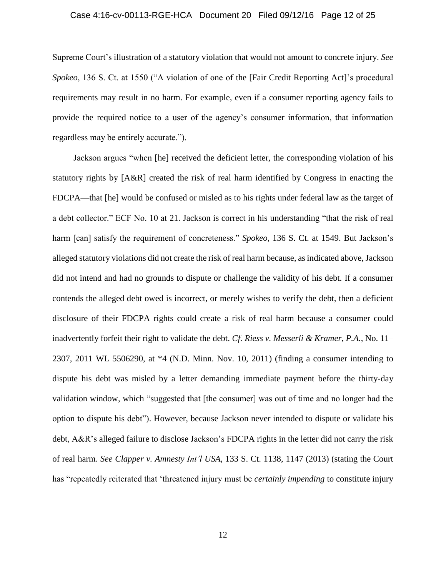# Case 4:16-cv-00113-RGE-HCA Document 20 Filed 09/12/16 Page 12 of 25

Supreme Court's illustration of a statutory violation that would not amount to concrete injury. *See Spokeo*, 136 S. Ct. at 1550 ("A violation of one of the [Fair Credit Reporting Act]'s procedural requirements may result in no harm. For example, even if a consumer reporting agency fails to provide the required notice to a user of the agency's consumer information, that information regardless may be entirely accurate.").

Jackson argues "when [he] received the deficient letter, the corresponding violation of his statutory rights by [A&R] created the risk of real harm identified by Congress in enacting the FDCPA—that [he] would be confused or misled as to his rights under federal law as the target of a debt collector." ECF No. 10 at 21. Jackson is correct in his understanding "that the risk of real harm [can] satisfy the requirement of concreteness." *Spokeo*, 136 S. Ct. at 1549. But Jackson's alleged statutory violations did not create the risk of real harm because, as indicated above, Jackson did not intend and had no grounds to dispute or challenge the validity of his debt. If a consumer contends the alleged debt owed is incorrect, or merely wishes to verify the debt, then a deficient disclosure of their FDCPA rights could create a risk of real harm because a consumer could inadvertently forfeit their right to validate the debt. *Cf. Riess v. Messerli & Kramer, P.A.*, No. 11– 2307, 2011 WL 5506290, at \*4 (N.D. Minn. Nov. 10, 2011) (finding a consumer intending to dispute his debt was misled by a letter demanding immediate payment before the thirty-day validation window, which "suggested that [the consumer] was out of time and no longer had the option to dispute his debt"). However, because Jackson never intended to dispute or validate his debt, A&R's alleged failure to disclose Jackson's FDCPA rights in the letter did not carry the risk of real harm. *See Clapper v. Amnesty Int'l USA*, 133 S. Ct. 1138, 1147 (2013) (stating the Court has "repeatedly reiterated that 'threatened injury must be *certainly impending* to constitute injury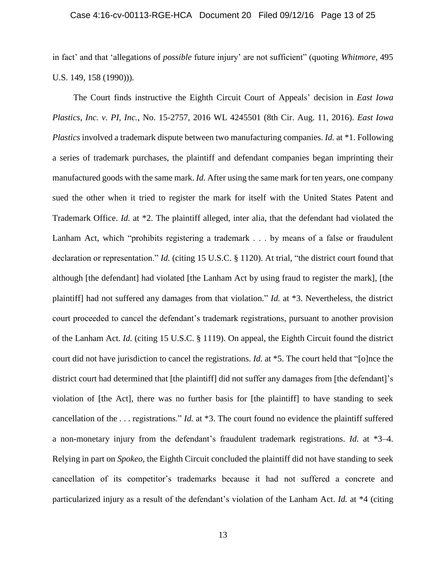### Case 4:16-cv-00113-RGE-HCA Document 20 Filed 09/12/16 Page 13 of 25

in fact' and that 'allegations of *possible* future injury' are not sufficient" (quoting *Whitmore*, 495 U.S. 149, 158 (1990))).

The Court finds instructive the Eighth Circuit Court of Appeals' decision in *East Iowa Plastics, Inc. v. PI, Inc.*, No. 15-2757, 2016 WL 4245501 (8th Cir. Aug. 11, 2016). *East Iowa Plastics* involved a trademark dispute between two manufacturing companies. *Id.* at \*1. Following a series of trademark purchases, the plaintiff and defendant companies began imprinting their manufactured goods with the same mark. *Id.* After using the same mark for ten years, one company sued the other when it tried to register the mark for itself with the United States Patent and Trademark Office. *Id.* at \*2. The plaintiff alleged, inter alia, that the defendant had violated the Lanham Act, which "prohibits registering a trademark . . . by means of a false or fraudulent declaration or representation." *Id.* (citing 15 U.S.C. § 1120). At trial, "the district court found that although [the defendant] had violated [the Lanham Act by using fraud to register the mark], [the plaintiff] had not suffered any damages from that violation." *Id.* at \*3. Nevertheless, the district court proceeded to cancel the defendant's trademark registrations, pursuant to another provision of the Lanham Act. *Id.* (citing 15 U.S.C. § 1119). On appeal, the Eighth Circuit found the district court did not have jurisdiction to cancel the registrations. *Id.* at \*5. The court held that "[o]nce the district court had determined that [the plaintiff] did not suffer any damages from [the defendant]'s violation of [the Act], there was no further basis for [the plaintiff] to have standing to seek cancellation of the . . . registrations." *Id.* at \*3. The court found no evidence the plaintiff suffered a non-monetary injury from the defendant's fraudulent trademark registrations. *Id.* at \*3–4. Relying in part on *Spokeo*, the Eighth Circuit concluded the plaintiff did not have standing to seek cancellation of its competitor's trademarks because it had not suffered a concrete and particularized injury as a result of the defendant's violation of the Lanham Act. *Id.* at \*4 (citing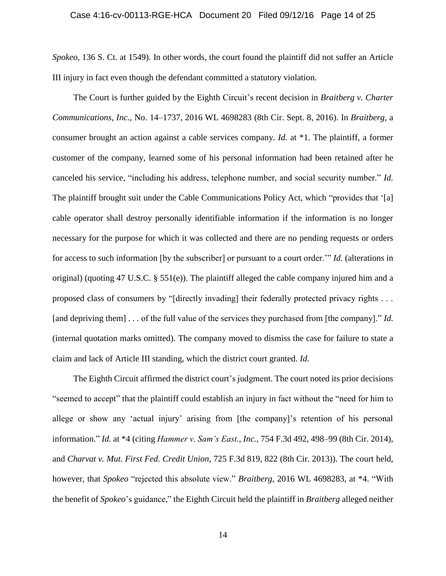*Spokeo*, 136 S. Ct. at 1549). In other words, the court found the plaintiff did not suffer an Article III injury in fact even though the defendant committed a statutory violation.

The Court is further guided by the Eighth Circuit's recent decision in *Braitberg v. Charter Communications, Inc.*, No. 14–1737, 2016 WL 4698283 (8th Cir. Sept. 8, 2016). In *Braitberg*, a consumer brought an action against a cable services company. *Id.* at \*1. The plaintiff, a former customer of the company, learned some of his personal information had been retained after he canceled his service, "including his address, telephone number, and social security number." *Id.* The plaintiff brought suit under the Cable Communications Policy Act, which "provides that '[a] cable operator shall destroy personally identifiable information if the information is no longer necessary for the purpose for which it was collected and there are no pending requests or orders for access to such information [by the subscriber] or pursuant to a court order.'" *Id.* (alterations in original) (quoting 47 U.S.C. § 551(e)). The plaintiff alleged the cable company injured him and a proposed class of consumers by "[directly invading] their federally protected privacy rights . . . [and depriving them] . . . of the full value of the services they purchased from [the company]." *Id.* (internal quotation marks omitted). The company moved to dismiss the case for failure to state a claim and lack of Article III standing, which the district court granted. *Id.*

The Eighth Circuit affirmed the district court's judgment. The court noted its prior decisions "seemed to accept" that the plaintiff could establish an injury in fact without the "need for him to allege or show any 'actual injury' arising from [the company]'s retention of his personal information." *Id.* at \*4 (citing *Hammer v. Sam's East., Inc.*, 754 F.3d 492, 498–99 (8th Cir. 2014), and *Charvat v. Mut. First Fed. Credit Union*, 725 F.3d 819, 822 (8th Cir. 2013)). The court held, however, that *Spokeo* "rejected this absolute view." *Braitberg*, 2016 WL 4698283, at \*4. "With the benefit of *Spokeo*'s guidance," the Eighth Circuit held the plaintiff in *Braitberg* alleged neither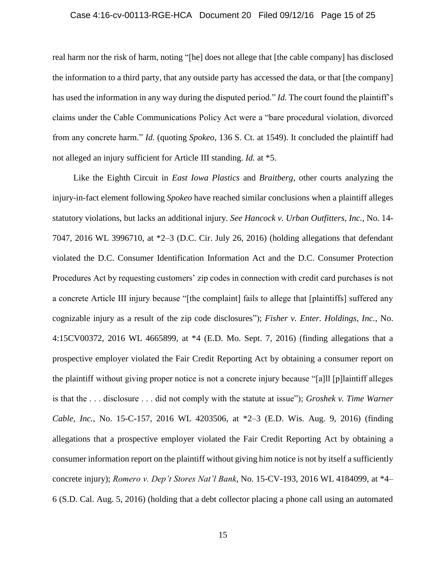### Case 4:16-cv-00113-RGE-HCA Document 20 Filed 09/12/16 Page 15 of 25

real harm nor the risk of harm, noting "[he] does not allege that [the cable company] has disclosed the information to a third party, that any outside party has accessed the data, or that [the company] has used the information in any way during the disputed period." *Id.* The court found the plaintiff's claims under the Cable Communications Policy Act were a "bare procedural violation, divorced from any concrete harm." *Id.* (quoting *Spokeo*, 136 S. Ct. at 1549). It concluded the plaintiff had not alleged an injury sufficient for Article III standing. *Id.* at \*5.

Like the Eighth Circuit in *East Iowa Plastics* and *Braitberg*, other courts analyzing the injury-in-fact element following *Spokeo* have reached similar conclusions when a plaintiff alleges statutory violations, but lacks an additional injury. *See Hancock v. Urban Outfitters, Inc.*, No. 14- 7047, 2016 WL 3996710, at \*2–3 (D.C. Cir. July 26, 2016) (holding allegations that defendant violated the D.C. Consumer Identification Information Act and the D.C. Consumer Protection Procedures Act by requesting customers' zip codes in connection with credit card purchases is not a concrete Article III injury because "[the complaint] fails to allege that [plaintiffs] suffered any cognizable injury as a result of the zip code disclosures"); *Fisher v. Enter. Holdings, Inc.*, No. 4:15CV00372, 2016 WL 4665899, at \*4 (E.D. Mo. Sept. 7, 2016) (finding allegations that a prospective employer violated the Fair Credit Reporting Act by obtaining a consumer report on the plaintiff without giving proper notice is not a concrete injury because "[a]ll [p]laintiff alleges is that the . . . disclosure . . . did not comply with the statute at issue"); *Groshek v. Time Warner Cable, Inc.*, No. 15-C-157, 2016 WL 4203506, at \*2–3 (E.D. Wis. Aug. 9, 2016) (finding allegations that a prospective employer violated the Fair Credit Reporting Act by obtaining a consumer information report on the plaintiff without giving him notice is not by itself a sufficiently concrete injury); *Romero v. Dep't Stores Nat'l Bank*, No. 15-CV-193, 2016 WL 4184099, at \*4– 6 (S.D. Cal. Aug. 5, 2016) (holding that a debt collector placing a phone call using an automated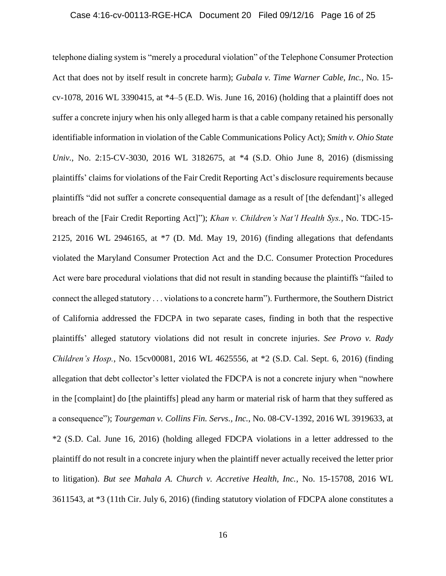# Case 4:16-cv-00113-RGE-HCA Document 20 Filed 09/12/16 Page 16 of 25

telephone dialing system is "merely a procedural violation" of the Telephone Consumer Protection Act that does not by itself result in concrete harm); *Gubala v. Time Warner Cable, Inc.*, No. 15 cv-1078, 2016 WL 3390415, at \*4–5 (E.D. Wis. June 16, 2016) (holding that a plaintiff does not suffer a concrete injury when his only alleged harm is that a cable company retained his personally identifiable information in violation of the Cable Communications Policy Act); *Smith v. Ohio State Univ.*, No. 2:15-CV-3030, 2016 WL 3182675, at \*4 (S.D. Ohio June 8, 2016) (dismissing plaintiffs' claims for violations of the Fair Credit Reporting Act's disclosure requirements because plaintiffs "did not suffer a concrete consequential damage as a result of [the defendant]'s alleged breach of the [Fair Credit Reporting Act]"); *Khan v. Children's Nat'l Health Sys.*, No. TDC-15- 2125, 2016 WL 2946165, at \*7 (D. Md. May 19, 2016) (finding allegations that defendants violated the Maryland Consumer Protection Act and the D.C. Consumer Protection Procedures Act were bare procedural violations that did not result in standing because the plaintiffs "failed to connect the alleged statutory . . . violations to a concrete harm"). Furthermore, the Southern District of California addressed the FDCPA in two separate cases, finding in both that the respective plaintiffs' alleged statutory violations did not result in concrete injuries. *See Provo v. Rady Children's Hosp.*, No. 15cv00081, 2016 WL 4625556, at \*2 (S.D. Cal. Sept. 6, 2016) (finding allegation that debt collector's letter violated the FDCPA is not a concrete injury when "nowhere in the [complaint] do [the plaintiffs] plead any harm or material risk of harm that they suffered as a consequence"); *Tourgeman v. Collins Fin. Servs., Inc.*, No. 08-CV-1392, 2016 WL 3919633, at \*2 (S.D. Cal. June 16, 2016) (holding alleged FDCPA violations in a letter addressed to the plaintiff do not result in a concrete injury when the plaintiff never actually received the letter prior to litigation). *But see Mahala A. Church v. Accretive Health, Inc.*, No. 15-15708, 2016 WL 3611543, at \*3 (11th Cir. July 6, 2016) (finding statutory violation of FDCPA alone constitutes a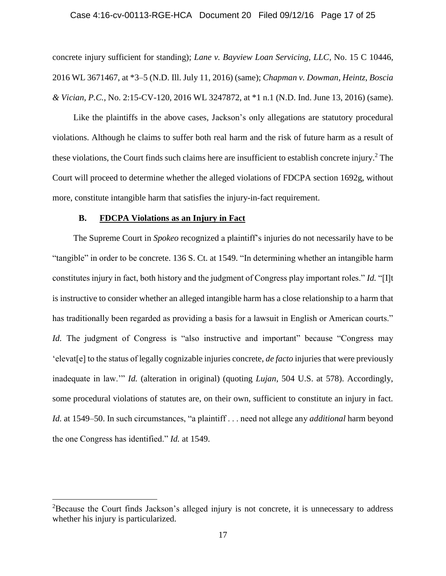### Case 4:16-cv-00113-RGE-HCA Document 20 Filed 09/12/16 Page 17 of 25

concrete injury sufficient for standing); *Lane v. Bayview Loan Servicing, LLC*, No. 15 C 10446, 2016 WL 3671467, at \*3–5 (N.D. Ill. July 11, 2016) (same); *Chapman v. Dowman, Heintz, Boscia & Vician, P.C.*, No. 2:15-CV-120, 2016 WL 3247872, at \*1 n.1 (N.D. Ind. June 13, 2016) (same).

Like the plaintiffs in the above cases, Jackson's only allegations are statutory procedural violations. Although he claims to suffer both real harm and the risk of future harm as a result of these violations, the Court finds such claims here are insufficient to establish concrete injury. <sup>2</sup> The Court will proceed to determine whether the alleged violations of FDCPA section 1692g, without more, constitute intangible harm that satisfies the injury-in-fact requirement.

# **B. FDCPA Violations as an Injury in Fact**

 $\overline{a}$ 

The Supreme Court in *Spokeo* recognized a plaintiff's injuries do not necessarily have to be "tangible" in order to be concrete. 136 S. Ct. at 1549. "In determining whether an intangible harm constitutes injury in fact, both history and the judgment of Congress play important roles." *Id.* "[I]t is instructive to consider whether an alleged intangible harm has a close relationship to a harm that has traditionally been regarded as providing a basis for a lawsuit in English or American courts." *Id.* The judgment of Congress is "also instructive and important" because "Congress may 'elevat[e] to the status of legally cognizable injuries concrete, *de facto* injuries that were previously inadequate in law.'" *Id.* (alteration in original) (quoting *Lujan*, 504 U.S. at 578). Accordingly, some procedural violations of statutes are, on their own, sufficient to constitute an injury in fact. *Id.* at 1549–50. In such circumstances, "a plaintiff . . . need not allege any *additional* harm beyond the one Congress has identified." *Id.* at 1549.

<sup>&</sup>lt;sup>2</sup>Because the Court finds Jackson's alleged injury is not concrete, it is unnecessary to address whether his injury is particularized.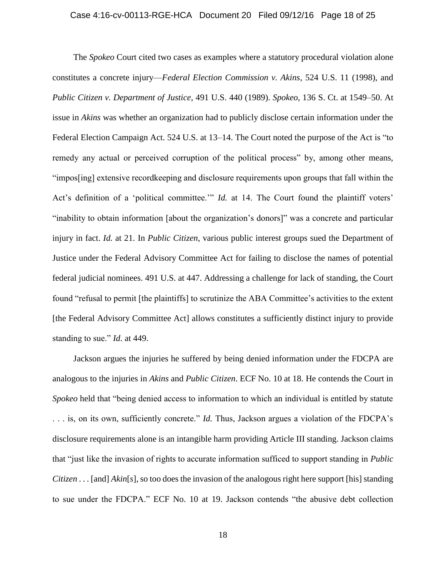### Case 4:16-cv-00113-RGE-HCA Document 20 Filed 09/12/16 Page 18 of 25

The *Spokeo* Court cited two cases as examples where a statutory procedural violation alone constitutes a concrete injury—*Federal Election Commission v. Akins*, 524 U.S. 11 (1998), and *Public Citizen v. Department of Justice*, 491 U.S. 440 (1989). *Spokeo*, 136 S. Ct. at 1549–50. At issue in *Akins* was whether an organization had to publicly disclose certain information under the Federal Election Campaign Act. 524 U.S. at 13–14. The Court noted the purpose of the Act is "to remedy any actual or perceived corruption of the political process" by, among other means, "impos[ing] extensive recordkeeping and disclosure requirements upon groups that fall within the Act's definition of a 'political committee.'" *Id.* at 14. The Court found the plaintiff voters' "inability to obtain information [about the organization's donors]" was a concrete and particular injury in fact. *Id.* at 21. In *Public Citizen*, various public interest groups sued the Department of Justice under the Federal Advisory Committee Act for failing to disclose the names of potential federal judicial nominees. 491 U.S. at 447. Addressing a challenge for lack of standing, the Court found "refusal to permit [the plaintiffs] to scrutinize the ABA Committee's activities to the extent [the Federal Advisory Committee Act] allows constitutes a sufficiently distinct injury to provide standing to sue." *Id.* at 449.

Jackson argues the injuries he suffered by being denied information under the FDCPA are analogous to the injuries in *Akins* and *Public Citizen*. ECF No. 10 at 18. He contends the Court in *Spokeo* held that "being denied access to information to which an individual is entitled by statute . . . is, on its own, sufficiently concrete." *Id.* Thus, Jackson argues a violation of the FDCPA's disclosure requirements alone is an intangible harm providing Article III standing. Jackson claims that "just like the invasion of rights to accurate information sufficed to support standing in *Public Citizen* . . . [and] *Akin*[*s*], so too does the invasion of the analogous right here support [his] standing to sue under the FDCPA." ECF No. 10 at 19. Jackson contends "the abusive debt collection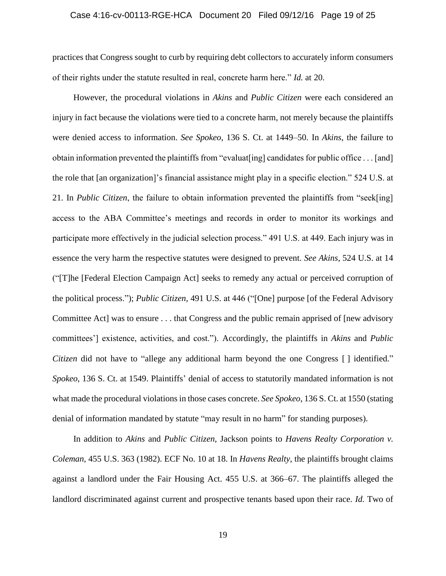# Case 4:16-cv-00113-RGE-HCA Document 20 Filed 09/12/16 Page 19 of 25

practices that Congress sought to curb by requiring debt collectors to accurately inform consumers of their rights under the statute resulted in real, concrete harm here." *Id.* at 20.

However, the procedural violations in *Akins* and *Public Citizen* were each considered an injury in fact because the violations were tied to a concrete harm, not merely because the plaintiffs were denied access to information. *See Spokeo*, 136 S. Ct. at 1449–50. In *Akins*, the failure to obtain information prevented the plaintiffs from "evaluat[ing] candidates for public office . . . [and] the role that [an organization]'s financial assistance might play in a specific election." 524 U.S. at 21. In *Public Citizen*, the failure to obtain information prevented the plaintiffs from "seek[ing] access to the ABA Committee's meetings and records in order to monitor its workings and participate more effectively in the judicial selection process." 491 U.S. at 449. Each injury was in essence the very harm the respective statutes were designed to prevent. *See Akins*, 524 U.S. at 14 ("[T]he [Federal Election Campaign Act] seeks to remedy any actual or perceived corruption of the political process."); *Public Citizen*, 491 U.S. at 446 ("[One] purpose [of the Federal Advisory Committee Act] was to ensure . . . that Congress and the public remain apprised of [new advisory committees'] existence, activities, and cost."). Accordingly, the plaintiffs in *Akins* and *Public Citizen* did not have to "allege any additional harm beyond the one Congress [] identified." *Spokeo*, 136 S. Ct. at 1549. Plaintiffs' denial of access to statutorily mandated information is not what made the procedural violations in those cases concrete. *See Spokeo*, 136 S. Ct. at 1550 (stating denial of information mandated by statute "may result in no harm" for standing purposes).

In addition to *Akins* and *Public Citizen*, Jackson points to *Havens Realty Corporation v. Coleman*, 455 U.S. 363 (1982). ECF No. 10 at 18. In *Havens Realty*, the plaintiffs brought claims against a landlord under the Fair Housing Act. 455 U.S. at 366–67. The plaintiffs alleged the landlord discriminated against current and prospective tenants based upon their race. *Id.* Two of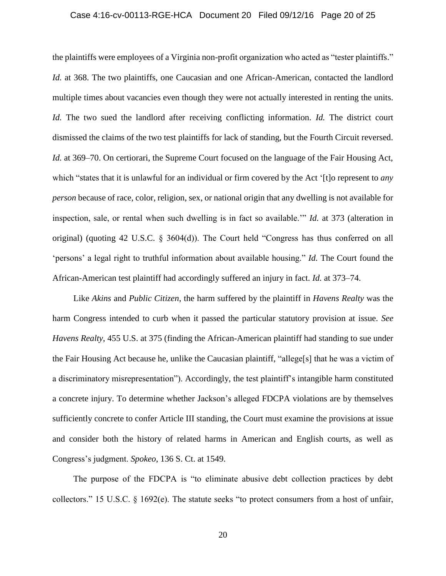# Case 4:16-cv-00113-RGE-HCA Document 20 Filed 09/12/16 Page 20 of 25

the plaintiffs were employees of a Virginia non-profit organization who acted as "tester plaintiffs." *Id.* at 368. The two plaintiffs, one Caucasian and one African-American, contacted the landlord multiple times about vacancies even though they were not actually interested in renting the units. *Id.* The two sued the landlord after receiving conflicting information. *Id.* The district court dismissed the claims of the two test plaintiffs for lack of standing, but the Fourth Circuit reversed. *Id.* at 369–70. On certiorari, the Supreme Court focused on the language of the Fair Housing Act, which "states that it is unlawful for an individual or firm covered by the Act '[t]o represent to *any person* because of race, color, religion, sex, or national origin that any dwelling is not available for inspection, sale, or rental when such dwelling is in fact so available.'" *Id.* at 373 (alteration in original) (quoting 42 U.S.C. § 3604(d)). The Court held "Congress has thus conferred on all 'persons' a legal right to truthful information about available housing." *Id.* The Court found the African-American test plaintiff had accordingly suffered an injury in fact. *Id.* at 373–74.

Like *Akins* and *Public Citizen*, the harm suffered by the plaintiff in *Havens Realty* was the harm Congress intended to curb when it passed the particular statutory provision at issue. *See Havens Realty*, 455 U.S. at 375 (finding the African-American plaintiff had standing to sue under the Fair Housing Act because he, unlike the Caucasian plaintiff, "allege[s] that he was a victim of a discriminatory misrepresentation"). Accordingly, the test plaintiff's intangible harm constituted a concrete injury. To determine whether Jackson's alleged FDCPA violations are by themselves sufficiently concrete to confer Article III standing, the Court must examine the provisions at issue and consider both the history of related harms in American and English courts, as well as Congress's judgment. *Spokeo*, 136 S. Ct. at 1549.

The purpose of the FDCPA is "to eliminate abusive debt collection practices by debt collectors." 15 U.S.C. § 1692(e). The statute seeks "to protect consumers from a host of unfair,

20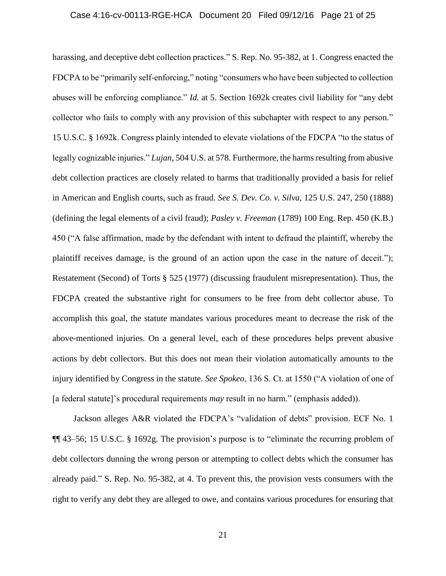### Case 4:16-cv-00113-RGE-HCA Document 20 Filed 09/12/16 Page 21 of 25

harassing, and deceptive debt collection practices." S. Rep. No. 95-382, at 1. Congress enacted the FDCPA to be "primarily self-enforcing," noting "consumers who have been subjected to collection abuses will be enforcing compliance." *Id.* at 5. Section 1692k creates civil liability for "any debt collector who fails to comply with any provision of this subchapter with respect to any person." 15 U.S.C. § 1692k. Congress plainly intended to elevate violations of the FDCPA "to the status of legally cognizable injuries." *Lujan*, 504 U.S. at 578. Furthermore, the harms resulting from abusive debt collection practices are closely related to harms that traditionally provided a basis for relief in American and English courts, such as fraud. *See S. Dev. Co. v. Silva*, 125 U.S. 247, 250 (1888) (defining the legal elements of a civil fraud); *Pasley v. Freeman* (1789) 100 Eng. Rep. 450 (K.B.) 450 ("A false affirmation, made by the defendant with intent to defraud the plaintiff, whereby the plaintiff receives damage, is the ground of an action upon the case in the nature of deceit."); Restatement (Second) of Torts § 525 (1977) (discussing fraudulent misrepresentation). Thus, the FDCPA created the substantive right for consumers to be free from debt collector abuse. To accomplish this goal, the statute mandates various procedures meant to decrease the risk of the above-mentioned injuries. On a general level, each of these procedures helps prevent abusive actions by debt collectors. But this does not mean their violation automatically amounts to the injury identified by Congress in the statute. *See Spokeo*, 136 S. Ct. at 1550 ("A violation of one of [a federal statute]'s procedural requirements *may* result in no harm." (emphasis added)).

Jackson alleges A&R violated the FDCPA's "validation of debts" provision. ECF No. 1 ¶¶ 43–56; 15 U.S.C. § 1692g. The provision's purpose is to "eliminate the recurring problem of debt collectors dunning the wrong person or attempting to collect debts which the consumer has already paid." S. Rep. No. 95-382, at 4. To prevent this, the provision vests consumers with the right to verify any debt they are alleged to owe, and contains various procedures for ensuring that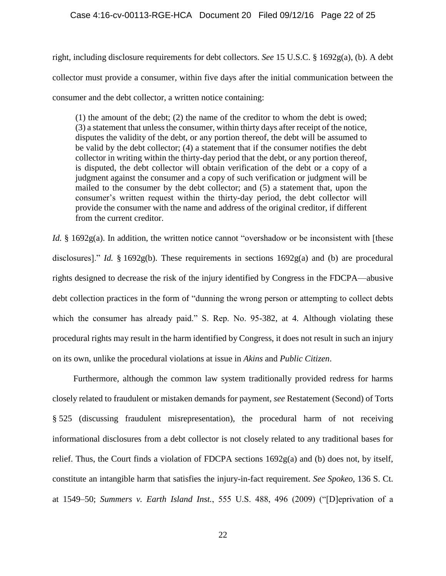right, including disclosure requirements for debt collectors. *See* 15 U.S.C. § 1692g(a), (b). A debt collector must provide a consumer, within five days after the initial communication between the consumer and the debt collector, a written notice containing:

(1) the amount of the debt; (2) the name of the creditor to whom the debt is owed; (3) a statement that unless the consumer, within thirty days after receipt of the notice, disputes the validity of the debt, or any portion thereof, the debt will be assumed to be valid by the debt collector; (4) a statement that if the consumer notifies the debt collector in writing within the thirty-day period that the debt, or any portion thereof, is disputed, the debt collector will obtain verification of the debt or a copy of a judgment against the consumer and a copy of such verification or judgment will be mailed to the consumer by the debt collector; and (5) a statement that, upon the consumer's written request within the thirty-day period, the debt collector will provide the consumer with the name and address of the original creditor, if different from the current creditor.

*Id.* § 1692g(a). In addition, the written notice cannot "overshadow or be inconsistent with [these disclosures]." *Id.* § 1692g(b). These requirements in sections 1692g(a) and (b) are procedural rights designed to decrease the risk of the injury identified by Congress in the FDCPA—abusive debt collection practices in the form of "dunning the wrong person or attempting to collect debts which the consumer has already paid." S. Rep. No. 95-382, at 4. Although violating these procedural rights may result in the harm identified by Congress, it does not result in such an injury on its own, unlike the procedural violations at issue in *Akins* and *Public Citizen*.

Furthermore, although the common law system traditionally provided redress for harms closely related to fraudulent or mistaken demands for payment, *see* Restatement (Second) of Torts § 525 (discussing fraudulent misrepresentation), the procedural harm of not receiving informational disclosures from a debt collector is not closely related to any traditional bases for relief. Thus, the Court finds a violation of FDCPA sections 1692g(a) and (b) does not, by itself, constitute an intangible harm that satisfies the injury-in-fact requirement. *See Spokeo*, 136 S. Ct. at 1549–50; *Summers v. Earth Island Inst.*, 555 U.S. 488, 496 (2009) ("[D]eprivation of a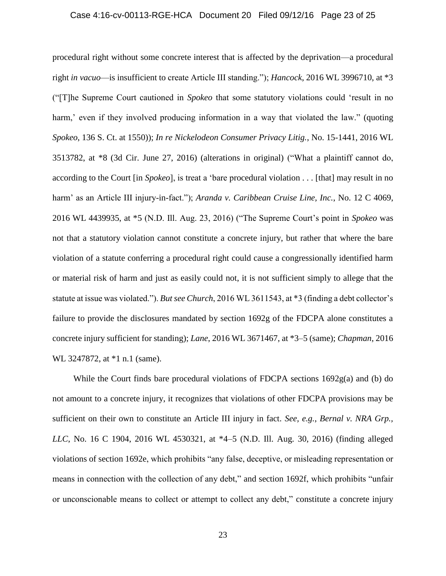# Case 4:16-cv-00113-RGE-HCA Document 20 Filed 09/12/16 Page 23 of 25

procedural right without some concrete interest that is affected by the deprivation—a procedural right *in vacuo*—is insufficient to create Article III standing."); *Hancock*, 2016 WL 3996710, at \*3 ("[T]he Supreme Court cautioned in *Spokeo* that some statutory violations could 'result in no harm,' even if they involved producing information in a way that violated the law." (quoting *Spokeo*, 136 S. Ct. at 1550)); *In re Nickelodeon Consumer Privacy Litig.*, No. 15-1441, 2016 WL 3513782, at \*8 (3d Cir. June 27, 2016) (alterations in original) ("What a plaintiff cannot do, according to the Court [in *Spokeo*], is treat a 'bare procedural violation . . . [that] may result in no harm' as an Article III injury-in-fact."); *Aranda v. Caribbean Cruise Line, Inc.*, No. 12 C 4069, 2016 WL 4439935, at \*5 (N.D. Ill. Aug. 23, 2016) ("The Supreme Court's point in *Spokeo* was not that a statutory violation cannot constitute a concrete injury, but rather that where the bare violation of a statute conferring a procedural right could cause a congressionally identified harm or material risk of harm and just as easily could not, it is not sufficient simply to allege that the statute at issue was violated."). *But see Church*, 2016 WL 3611543, at \*3 (finding a debt collector's failure to provide the disclosures mandated by section 1692g of the FDCPA alone constitutes a concrete injury sufficient for standing); *Lane*, 2016 WL 3671467, at \*3–5 (same); *Chapman*, 2016 WL 3247872, at  $*1$  n.1 (same).

While the Court finds bare procedural violations of FDCPA sections  $1692g(a)$  and (b) do not amount to a concrete injury, it recognizes that violations of other FDCPA provisions may be sufficient on their own to constitute an Article III injury in fact. *See, e.g.*, *Bernal v. NRA Grp., LLC*, No. 16 C 1904, 2016 WL 4530321, at \*4–5 (N.D. Ill. Aug. 30, 2016) (finding alleged violations of section 1692e, which prohibits "any false, deceptive, or misleading representation or means in connection with the collection of any debt," and section 1692f, which prohibits "unfair or unconscionable means to collect or attempt to collect any debt," constitute a concrete injury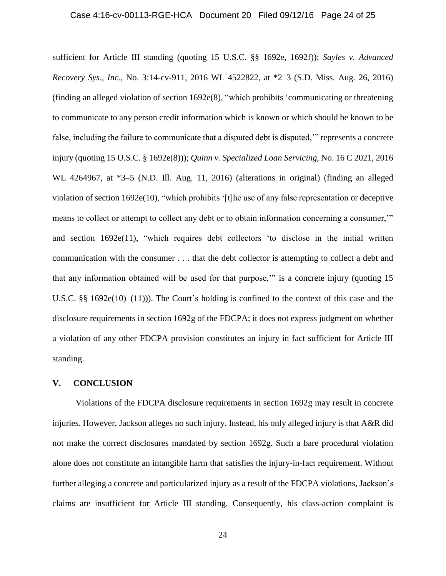### Case 4:16-cv-00113-RGE-HCA Document 20 Filed 09/12/16 Page 24 of 25

sufficient for Article III standing (quoting 15 U.S.C. §§ 1692e, 1692f)); *Sayles v. Advanced Recovery Sys., Inc.*, No. 3:14-cv-911, 2016 WL 4522822, at \*2–3 (S.D. Miss. Aug. 26, 2016) (finding an alleged violation of section 1692e(8), "which prohibits 'communicating or threatening to communicate to any person credit information which is known or which should be known to be false, including the failure to communicate that a disputed debt is disputed," represents a concrete injury (quoting 15 U.S.C. § 1692e(8))); *Quinn v. Specialized Loan Servicing*, No. 16 C 2021, 2016 WL 4264967, at \*3–5 (N.D. Ill. Aug. 11, 2016) (alterations in original) (finding an alleged violation of section 1692e(10), "which prohibits '[t]he use of any false representation or deceptive means to collect or attempt to collect any debt or to obtain information concerning a consumer,'" and section 1692e(11), "which requires debt collectors 'to disclose in the initial written communication with the consumer . . . that the debt collector is attempting to collect a debt and that any information obtained will be used for that purpose,'" is a concrete injury (quoting 15 U.S.C. §§ 1692e(10)–(11))). The Court's holding is confined to the context of this case and the disclosure requirements in section 1692g of the FDCPA; it does not express judgment on whether a violation of any other FDCPA provision constitutes an injury in fact sufficient for Article III standing.

### **V. CONCLUSION**

Violations of the FDCPA disclosure requirements in section 1692g may result in concrete injuries. However, Jackson alleges no such injury. Instead, his only alleged injury is that A&R did not make the correct disclosures mandated by section 1692g. Such a bare procedural violation alone does not constitute an intangible harm that satisfies the injury-in-fact requirement. Without further alleging a concrete and particularized injury as a result of the FDCPA violations, Jackson's claims are insufficient for Article III standing. Consequently, his class-action complaint is